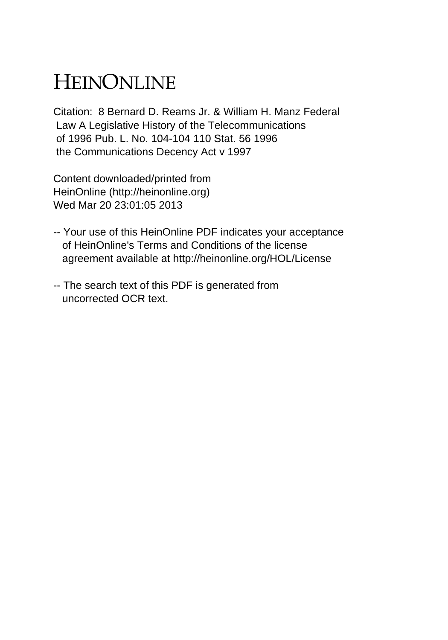## HEINONLINE

Citation: 8 Bernard D. Reams Jr. & William H. Manz Federal Law A Legislative History of the Telecommunications of 1996 Pub. L. No. 104-104 110 Stat. 56 1996 the Communications Decency Act v 1997

Content downloaded/printed from HeinOnline (http://heinonline.org) Wed Mar 20 23:01:05 2013

- -- Your use of this HeinOnline PDF indicates your acceptance of HeinOnline's Terms and Conditions of the license agreement available at http://heinonline.org/HOL/License
- -- The search text of this PDF is generated from uncorrected OCR text.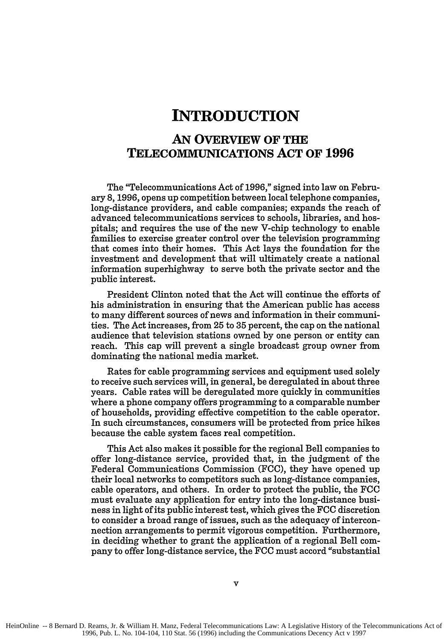## **INTRODUCTION**

## **AN OVERVIEW OF THE TELECOMMUNICATIONS ACT OF 1996**

The "Telecommunications Act of **1996,"** signed into law on February **8, 1996,** opens up competition between local telephone companies, long-distance providers, and cable companies; expands the reach of advanced telecommunications services to schools, libraries, and hospitals; and requires the use of the new V-chip technology to enable families to exercise greater control over the television programming that comes into their homes. This Act lays the foundation for the investment and development that will ultimately create a national information superhighway to serve both the private sector and the public interest.

President Clinton noted that the Act will continue the efforts of his administration in ensuring that the American public has access to many different sources of news and information in their communities. The Act increases, from **25** to **35** percent, the cap on the national audience that television stations owned **by** one person or entity can reach. This cap will prevent a single broadcast group owner from dominating the national media market.

Rates for cable programming services and equipment used solely to receive such services will, in general, be deregulated in about three years. Cable rates will be deregulated more quickly in communities where a phone company offers programming to a comparable number of households, providing effective competition to the cable operator. In such circumstances, consumers will be protected from price hikes because the cable system faces real competition.

This Act also makes it possible for the regional Bell companies to offer long-distance service, provided that, in the judgment of the Federal Communications Commission **(FCC),** they have opened up their local networks to competitors such as long-distance companies, cable operators, and others. In order to protect the public, the **FCC** must evaluate any application for entry into the long-distance business in light of its public interest test, which gives the **FCC** discretion to consider a broad range of issues, such as the adequacy of interconnection arrangements to permit vigorous competition. Furthermore, in deciding whether to grant the application of a regional Bell company to offer long-distance service, the **FCC** must accord "substantial